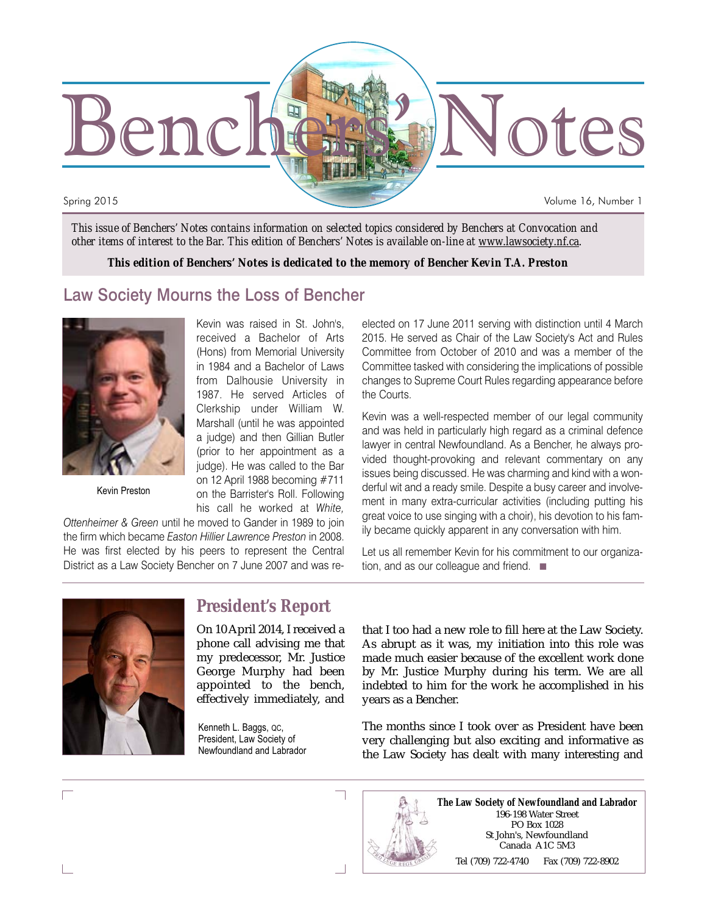

*This issue of Benchers' Notes contains information on selected topics considered by Benchers at Convocation and other items of interest to the Bar. This edition of Benchers' Notes is available on-line at www.lawsociety.nf.ca.*

*This edition of Benchers' Notes is dedicated to the memory of Bencher Kevin T.A. Preston*

#### Law Society Mourns the Loss of Bencher



Kevin Preston

Kevin was raised in St. John's, received a Bachelor of Arts (Hons) from Memorial University in 1984 and a Bachelor of Laws from Dalhousie University in 1987. He served Articles of Clerkship under William W. Marshall (until he was appointed a judge) and then Gillian Butler (prior to her appointment as a judge). He was called to the Bar on 12 April 1988 becoming #711 on the Barrister's Roll. Following his call he worked at *White,*

*Ottenheimer & Green* until he moved to Gander in 1989 to join the firm which became *Easton Hillier Lawrence Preston* in 2008. He was first elected by his peers to represent the Central District as a Law Society Bencher on 7 June 2007 and was reelected on 17 June 2011 serving with distinction until 4 March 2015. He served as Chair of the Law Society's Act and Rules Committee from October of 2010 and was a member of the Committee tasked with considering the implications of possible changes to Supreme Court Rules regarding appearance before the Courts.

Kevin was a well-respected member of our legal community and was held in particularly high regard as a criminal defence lawyer in central Newfoundland. As a Bencher, he always provided thought-provoking and relevant commentary on any issues being discussed. He was charming and kind with a wonderful wit and a ready smile. Despite a busy career and involvement in many extra-curricular activities (including putting his great voice to use singing with a choir), his devotion to his family became quickly apparent in any conversation with him.

Let us all remember Kevin for his commitment to our organization, and as our colleague and friend. ■



#### **President's Report**

On 10 April 2014, I received a phone call advising me that my predecessor, Mr. Justice George Murphy had been appointed to the bench, effectively immediately, and

Kenneth L. Baggs, QC, President, Law Society of Newfoundland and Labrador

that I too had a new role to fill here at the Law Society. As abrupt as it was, my initiation into this role was made much easier because of the excellent work done by Mr. Justice Murphy during his term. We are all indebted to him for the work he accomplished in his years as a Bencher.

The months since I took over as President have been very challenging but also exciting and informative as the Law Society has dealt with many interesting and



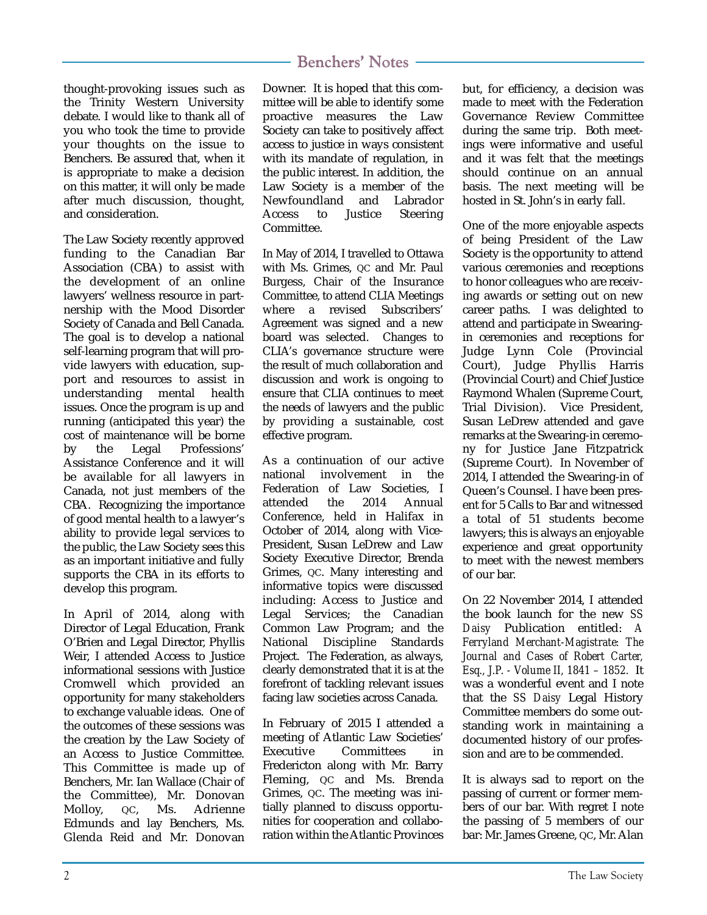thought-provoking issues such as the Trinity Western University debate. I would like to thank all of you who took the time to provide your thoughts on the issue to Benchers. Be assured that, when it is appropriate to make a decision on this matter, it will only be made after much discussion, thought, and consideration.

The Law Society recently approved funding to the Canadian Bar Association (CBA) to assist with the development of an online lawyers' wellness resource in partnership with the Mood Disorder Society of Canada and Bell Canada. The goal is to develop a national self-learning program that will provide lawyers with education, support and resources to assist in understanding mental health issues. Once the program is up and running (anticipated this year) the cost of maintenance will be borne by the Legal Professions' Assistance Conference and it will be available for all lawyers in Canada, not just members of the CBA. Recognizing the importance of good mental health to a lawyer's ability to provide legal services to the public, the Law Society sees this as an important initiative and fully supports the CBA in its efforts to develop this program.

In April of 2014, along with Director of Legal Education, Frank O'Brien and Legal Director, Phyllis Weir, I attended Access to Justice informational sessions with Justice Cromwell which provided an opportunity for many stakeholders to exchange valuable ideas. One of the outcomes of these sessions was the creation by the Law Society of an Access to Justice Committee. This Committee is made up of Benchers, Mr. Ian Wallace (Chair of the Committee), Mr. Donovan Molloy, QC, Ms. Adrienne Edmunds and lay Benchers, Ms. Glenda Reid and Mr. Donovan

#### Benchers' Notes

Downer. It is hoped that this committee will be able to identify some proactive measures the Law Society can take to positively affect access to justice in ways consistent with its mandate of regulation, in the public interest. In addition, the Law Society is a member of the Newfoundland and Labrador Access to Justice Steering Committee.

In May of 2014, I travelled to Ottawa with Ms. Grimes, QC and Mr. Paul Burgess, Chair of the Insurance Committee, to attend CLIA Meetings where a revised Subscribers' Agreement was signed and a new board was selected. Changes to CLIA's governance structure were the result of much collaboration and discussion and work is ongoing to ensure that CLIA continues to meet the needs of lawyers and the public by providing a sustainable, cost effective program.

As a continuation of our active national involvement in the Federation of Law Societies, I attended the 2014 Annual Conference, held in Halifax in October of 2014, along with Vice-President, Susan LeDrew and Law Society Executive Director, Brenda Grimes, QC. Many interesting and informative topics were discussed including: Access to Justice and Legal Services; the Canadian Common Law Program; and the National Discipline Standards Project. The Federation, as always, clearly demonstrated that it is at the forefront of tackling relevant issues facing law societies across Canada.

In February of 2015 I attended a meeting of Atlantic Law Societies' Executive Committees in Fredericton along with Mr. Barry Fleming, QC and Ms. Brenda Grimes, QC. The meeting was initially planned to discuss opportunities for cooperation and collaboration within the Atlantic Provinces but, for efficiency, a decision was made to meet with the Federation Governance Review Committee during the same trip. Both meetings were informative and useful and it was felt that the meetings should continue on an annual basis. The next meeting will be hosted in St. John's in early fall.

One of the more enjoyable aspects of being President of the Law Society is the opportunity to attend various ceremonies and receptions to honor colleagues who are receiving awards or setting out on new career paths. I was delighted to attend and participate in Swearingin ceremonies and receptions for Judge Lynn Cole (Provincial Court), Judge Phyllis Harris (Provincial Court) and Chief Justice Raymond Whalen (Supreme Court, Trial Division). Vice President, Susan LeDrew attended and gave remarks at the Swearing-in ceremony for Justice Jane Fitzpatrick (Supreme Court). In November of 2014, I attended the Swearing-in of Queen's Counsel. I have been present for 5 Calls to Bar and witnessed a total of 51 students become lawyers; this is always an enjoyable experience and great opportunity to meet with the newest members of our bar.

On 22 November 2014, I attended the book launch for the new *SS Daisy* Publication entitled: *A Ferryland Merchant-Magistrate: The Journal and Cases of Robert Carter, Esq., J.P. - Volume II, 1841 – 1852.* It was a wonderful event and I note that the *SS Daisy* Legal History Committee members do some outstanding work in maintaining a documented history of our profession and are to be commended.

It is always sad to report on the passing of current or former members of our bar. With regret I note the passing of 5 members of our bar: Mr. James Greene, QC, Mr. Alan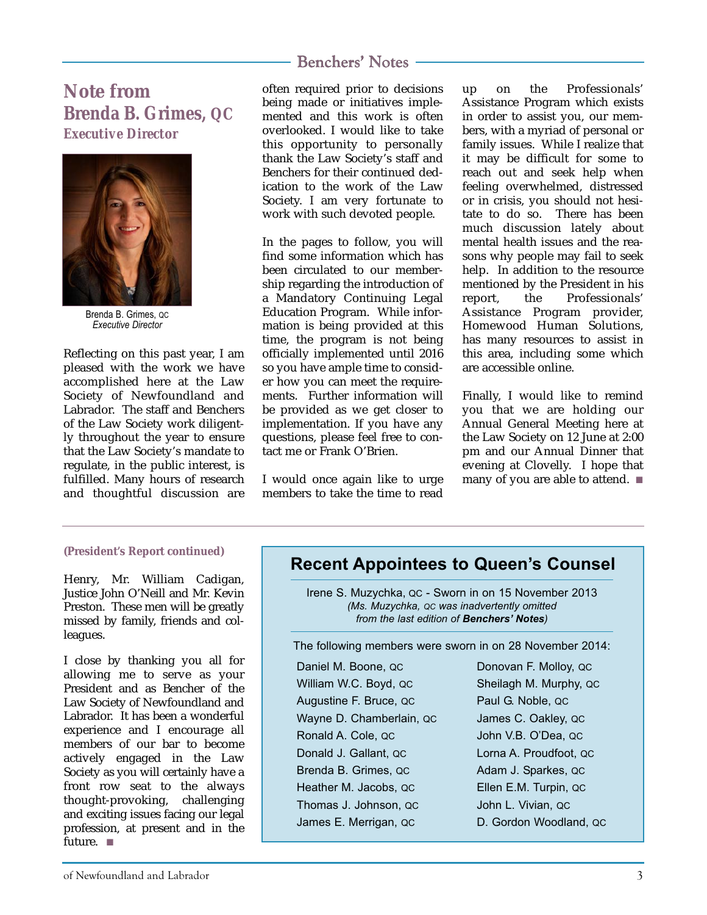**Note from Brenda B. Grimes, QC** *Executive Director*



Brenda B. Grimes, QC *Executive Director*

Reflecting on this past year, I am pleased with the work we have accomplished here at the Law Society of Newfoundland and Labrador. The staff and Benchers of the Law Society work diligently throughout the year to ensure that the Law Society's mandate to regulate, in the public interest, is fulfilled. Many hours of research and thoughtful discussion are often required prior to decisions being made or initiatives implemented and this work is often overlooked. I would like to take this opportunity to personally thank the Law Society's staff and Benchers for their continued dedication to the work of the Law Society. I am very fortunate to work with such devoted people.

In the pages to follow, you will find some information which has been circulated to our membership regarding the introduction of a Mandatory Continuing Legal Education Program. While information is being provided at this time, the program is not being officially implemented until 2016 so you have ample time to consider how you can meet the requirements. Further information will be provided as we get closer to implementation. If you have any questions, please feel free to contact me or Frank O'Brien.

I would once again like to urge members to take the time to read up on the Professionals' Assistance Program which exists in order to assist you, our members, with a myriad of personal or family issues. While I realize that it may be difficult for some to reach out and seek help when feeling overwhelmed, distressed or in crisis, you should not hesitate to do so. There has been much discussion lately about mental health issues and the reasons why people may fail to seek help. In addition to the resource mentioned by the President in his report, the Professionals' Assistance Program provider, Homewood Human Solutions, has many resources to assist in this area, including some which are accessible online.

Finally, I would like to remind you that we are holding our Annual General Meeting here at the Law Society on 12 June at 2:00 pm and our Annual Dinner that evening at Clovelly. I hope that many of you are able to attend. ■

#### **(President's Report continued)**

Henry, Mr. William Cadigan, Justice John O'Neill and Mr. Kevin Preston. These men will be greatly missed by family, friends and colleagues.

I close by thanking you all for allowing me to serve as your President and as Bencher of the Law Society of Newfoundland and Labrador. It has been a wonderful experience and I encourage all members of our bar to become actively engaged in the Law Society as you will certainly have a front row seat to the always thought-provoking, challenging and exciting issues facing our legal profession, at present and in the future. ■

#### **Recent Appointees to Queen's Counsel**

Irene S. Muzychka, QC - Sworn in on 15 November 2013 *(Ms. Muzychka, QC was inadvertently omitted from the last edition of Benchers' Notes)*

The following members were sworn in on 28 November 2014:

| Daniel M. Boone, QC      | Donovan F. Molloy, QC  |
|--------------------------|------------------------|
| William W.C. Boyd, QC    | Sheilagh M. Murphy, QC |
| Augustine F. Bruce, QC   | Paul G. Noble, QC      |
| Wayne D. Chamberlain, QC | James C. Oakley, QC    |
| Ronald A. Cole, QC       | John V.B. O'Dea, QC    |
| Donald J. Gallant, QC    | Lorna A. Proudfoot, QC |
| Brenda B. Grimes, QC     | Adam J. Sparkes, QC    |
| Heather M. Jacobs, QC    | Ellen E.M. Turpin, QC  |
| Thomas J. Johnson, QC    | John L. Vivian, QC     |
| James E. Merrigan, QC    | D. Gordon Woodland, QC |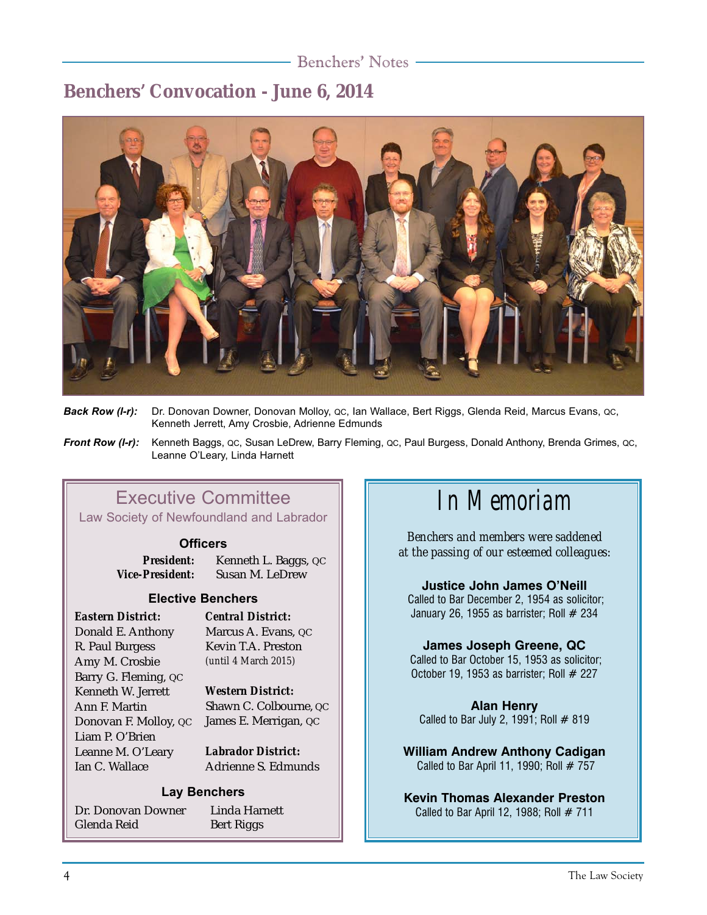### **Benchers' Convocation - June 6, 2014**



- *Back Row (l-r):* Dr. Donovan Downer, Donovan Molloy, QC, Ian Wallace, Bert Riggs, Glenda Reid, Marcus Evans, QC, Kenneth Jerrett, Amy Crosbie, Adrienne Edmunds
- *Front Row (l-r):* Kenneth Baggs, QC, Susan LeDrew, Barry Fleming, QC, Paul Burgess, Donald Anthony, Brenda Grimes, QC, Leanne O'Leary, Linda Harnett

### Executive Committee

Law Society of Newfoundland and Labrador

#### **Officers**

*President:* Kenneth L. Baggs, QC *Vice-President:* Susan M. LeDrew

#### **Elective Benchers**

*Eastern District:* Donald E. Anthony R. Paul Burgess Amy M. Crosbie Barry G. Fleming, QC Kenneth W. Jerrett Ann F. Martin Donovan F. Molloy, QC Liam P. O'Brien Leanne M. O'Leary Ian C. Wallace

*Central District:* Marcus A. Evans, QC Kevin T.A. Preston *(until 4 March 2015)*

#### *Western District:*

Shawn C. Colbourne, QC James E. Merrigan, QC

*Labrador District***:** Adrienne S. Edmunds

#### **Lay Benchers**

Dr. Donovan Downer Glenda Reid

Linda Harnett Bert Riggs

## *In Memoriam*

*Benchers and members were saddened at the passing of our esteemed colleagues:*

**Justice John James O'Neill**

Called to Bar December 2, 1954 as solicitor; January 26, 1955 as barrister; Roll  $#$  234

#### **James Joseph Greene, QC**

Called to Bar October 15, 1953 as solicitor; October 19, 1953 as barrister; Roll  $#$  227

**Alan Henry** Called to Bar July 2, 1991; Roll  $# 819$ 

**William Andrew Anthony Cadigan** Called to Bar April 11, 1990; Roll  $# 757$ 

**Kevin Thomas Alexander Preston** Called to Bar April 12, 1988; Roll  $# 711$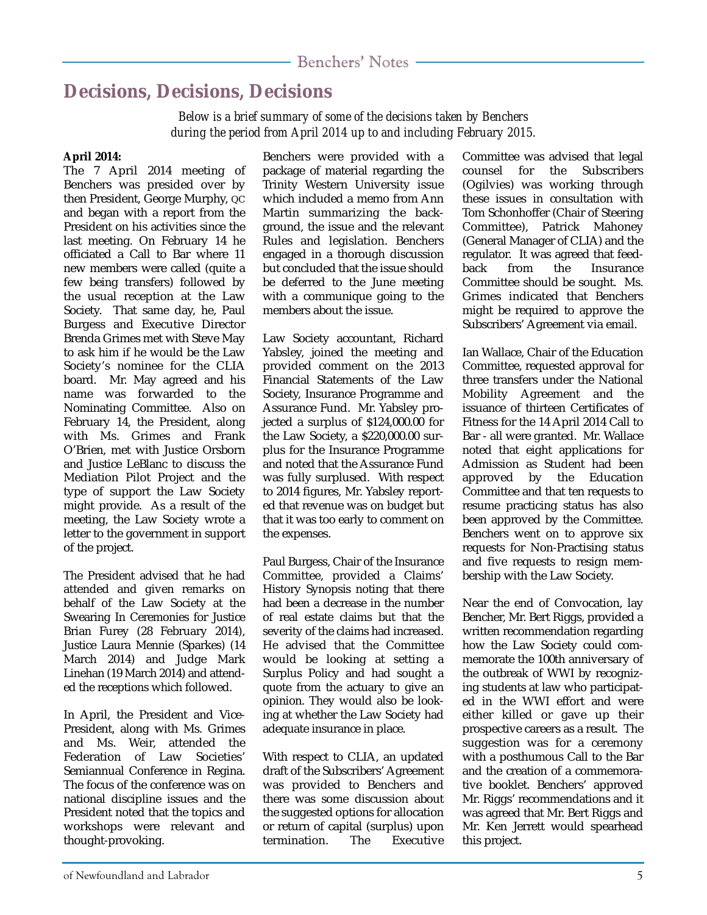### **Decisions, Decisions, Decisions**

*Below is a brief summary of some of the decisions taken by Benchers during the period from April 2014 up to and including February 2015.*

#### **April 2014:**

The 7 April 2014 meeting of Benchers was presided over by then President, George Murphy, QC and began with a report from the President on his activities since the last meeting. On February 14 he officiated a Call to Bar where 11 new members were called (quite a few being transfers) followed by the usual reception at the Law Society. That same day, he, Paul Burgess and Executive Director Brenda Grimes met with Steve May to ask him if he would be the Law Society's nominee for the CLIA board. Mr. May agreed and his name was forwarded to the Nominating Committee. Also on February 14, the President, along with Ms. Grimes and Frank O'Brien, met with Justice Orsborn and Justice LeBlanc to discuss the Mediation Pilot Project and the type of support the Law Society might provide. As a result of the meeting, the Law Society wrote a letter to the government in support of the project.

The President advised that he had attended and given remarks on behalf of the Law Society at the Swearing In Ceremonies for Justice Brian Furey (28 February 2014), Justice Laura Mennie (Sparkes) (14 March 2014) and Judge Mark Linehan (19 March 2014) and attended the receptions which followed.

In April, the President and Vice-President, along with Ms. Grimes and Ms. Weir, attended the Federation of Law Societies' Semiannual Conference in Regina. The focus of the conference was on national discipline issues and the President noted that the topics and workshops were relevant and thought-provoking.

Benchers were provided with a package of material regarding the Trinity Western University issue which included a memo from Ann Martin summarizing the background, the issue and the relevant Rules and legislation. Benchers engaged in a thorough discussion but concluded that the issue should be deferred to the June meeting with a communique going to the members about the issue.

Law Society accountant, Richard Yabsley, joined the meeting and provided comment on the 2013 Financial Statements of the Law Society, Insurance Programme and Assurance Fund. Mr. Yabsley projected a surplus of \$124,000.00 for the Law Society, a \$220,000.00 surplus for the Insurance Programme and noted that the Assurance Fund was fully surplused. With respect to 2014 figures, Mr. Yabsley reported that revenue was on budget but that it was too early to comment on the expenses.

Paul Burgess, Chair of the Insurance Committee, provided a Claims' History Synopsis noting that there had been a decrease in the number of real estate claims but that the severity of the claims had increased. He advised that the Committee would be looking at setting a Surplus Policy and had sought a quote from the actuary to give an opinion. They would also be looking at whether the Law Society had adequate insurance in place.

With respect to CLIA, an updated draft of the Subscribers' Agreement was provided to Benchers and there was some discussion about the suggested options for allocation or return of capital (surplus) upon termination. The Executive Committee was advised that legal counsel for the Subscribers (Ogilvies) was working through these issues in consultation with Tom Schonhoffer (Chair of Steering Committee), Patrick Mahoney (General Manager of CLIA) and the regulator. It was agreed that feedback from the Insurance Committee should be sought. Ms. Grimes indicated that Benchers might be required to approve the Subscribers' Agreement via email.

Ian Wallace, Chair of the Education Committee, requested approval for three transfers under the National Mobility Agreement and the issuance of thirteen Certificates of Fitness for the 14 April 2014 Call to Bar - all were granted. Mr. Wallace noted that eight applications for Admission as Student had been approved by the Education Committee and that ten requests to resume practicing status has also been approved by the Committee. Benchers went on to approve six requests for Non-Practising status and five requests to resign membership with the Law Society.

Near the end of Convocation, lay Bencher, Mr. Bert Riggs, provided a written recommendation regarding how the Law Society could commemorate the 100th anniversary of the outbreak of WWI by recognizing students at law who participated in the WWI effort and were either killed or gave up their prospective careers as a result. The suggestion was for a ceremony with a posthumous Call to the Bar and the creation of a commemorative booklet. Benchers' approved Mr. Riggs' recommendations and it was agreed that Mr. Bert Riggs and Mr. Ken Jerrett would spearhead this project.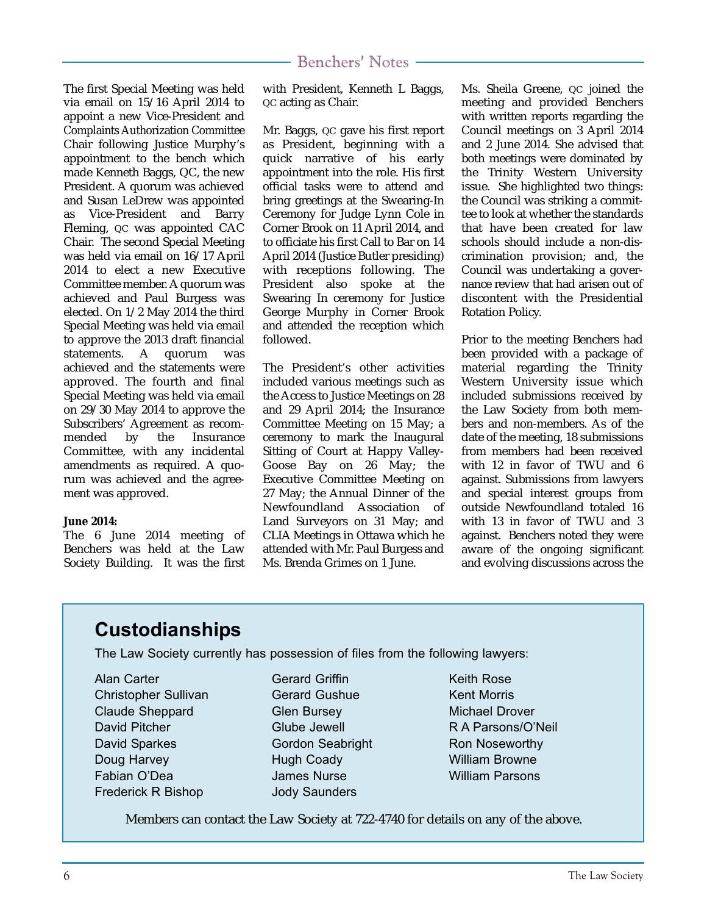The first Special Meeting was held via email on 15/16 April 2014 to appoint a new Vice-President and Complaints Authorization Committee Chair following Justice Murphy's appointment to the bench which made Kenneth Baggs, QC, the new President. A quorum was achieved and Susan LeDrew was appointed as Vice-President and Barry Fleming, QC was appointed CAC Chair. The second Special Meeting was held via email on 16/17 April 2014 to elect a new Executive Committee member. A quorum was achieved and Paul Burgess was elected. On 1/2 May 2014 the third Special Meeting was held via email to approve the 2013 draft financial statements. A quorum was achieved and the statements were approved. The fourth and final Special Meeting was held via email on 29/30 May 2014 to approve the Subscribers' Agreement as recom-<br>mended by the Insurance **Insurance** Committee, with any incidental amendments as required. A quorum was achieved and the agreement was approved.

#### **June 2014:**

The 6 June 2014 meeting of Benchers was held at the Law Society Building. It was the first with President, Kenneth L Baggs, QC acting as Chair.

Mr. Baggs, QC gave his first report as President, beginning with a quick narrative of his early appointment into the role. His first official tasks were to attend and bring greetings at the Swearing-In Ceremony for Judge Lynn Cole in Corner Brook on 11 April 2014, and to officiate his first Call to Bar on 14 April 2014 (Justice Butler presiding) with receptions following. The President also spoke at the Swearing In ceremony for Justice George Murphy in Corner Brook and attended the reception which followed.

The President's other activities included various meetings such as the Access to Justice Meetings on 28 and 29 April 2014; the Insurance Committee Meeting on 15 May; a ceremony to mark the Inaugural Sitting of Court at Happy Valley-Goose Bay on 26 May; the Executive Committee Meeting on 27 May; the Annual Dinner of the Newfoundland Association of Land Surveyors on 31 May; and CLIA Meetings in Ottawa which he attended with Mr. Paul Burgess and Ms. Brenda Grimes on 1 June.

Ms. Sheila Greene, QC joined the meeting and provided Benchers with written reports regarding the Council meetings on 3 April 2014 and 2 June 2014. She advised that both meetings were dominated by the Trinity Western University issue. She highlighted two things: the Council was striking a committee to look at whether the standards that have been created for law schools should include a non-discrimination provision; and, the Council was undertaking a governance review that had arisen out of discontent with the Presidential Rotation Policy.

Prior to the meeting Benchers had been provided with a package of material regarding the Trinity Western University issue which included submissions received by the Law Society from both members and non-members. As of the date of the meeting, 18 submissions from members had been received with 12 in favor of TWU and 6 against. Submissions from lawyers and special interest groups from outside Newfoundland totaled 16 with 13 in favor of TWU and 3 against. Benchers noted they were aware of the ongoing significant and evolving discussions across the

### **Custodianships**

The Law Society currently has possession of files from the following lawyers:

Alan Carter Christopher Sullivan Claude Sheppard David Pitcher David Sparkes Doug Harvey Fabian O'Dea Frederick R Bishop

#### Gerard Griffin Gerard Gushue Glen Bursey Glube Jewell Gordon Seabright Hugh Coady James Nurse Jody Saunders

Keith Rose Kent Morris Michael Drover R A Parsons/O'Neil Ron Noseworthy William Browne William Parsons

Members can contact the Law Society at 722-4740 for details on any of the above.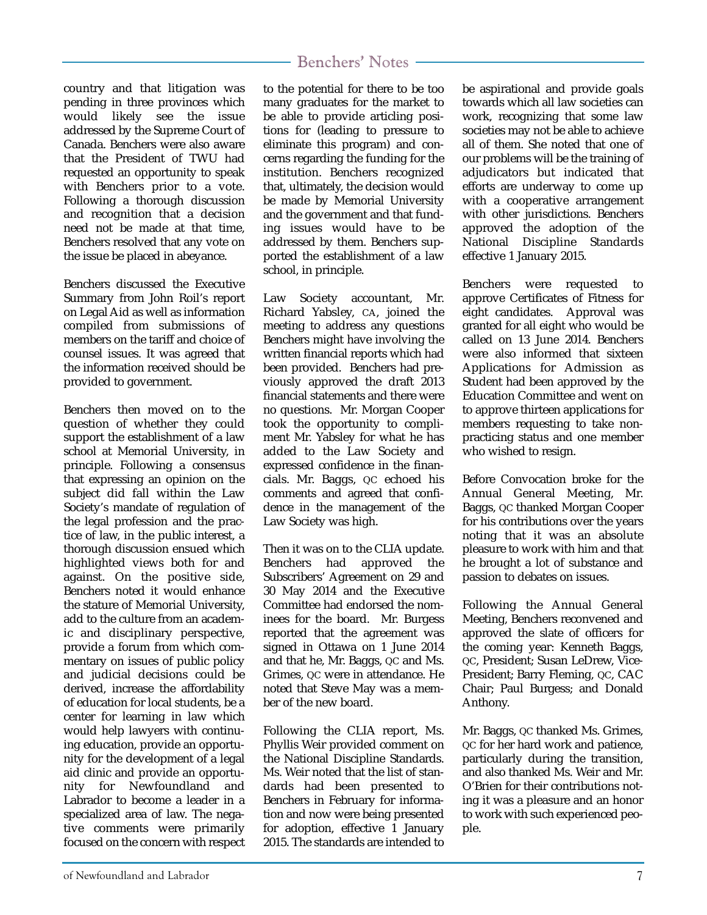country and that litigation was pending in three provinces which would likely see the issue addressed by the Supreme Court of Canada. Benchers were also aware that the President of TWU had requested an opportunity to speak with Benchers prior to a vote. Following a thorough discussion and recognition that a decision need not be made at that time, Benchers resolved that any vote on the issue be placed in abeyance.

Benchers discussed the Executive Summary from John Roil's report on Legal Aid as well as information compiled from submissions of members on the tariff and choice of counsel issues. It was agreed that the information received should be provided to government.

Benchers then moved on to the question of whether they could support the establishment of a law school at Memorial University, in principle. Following a consensus that expressing an opinion on the subject did fall within the Law Society's mandate of regulation of the legal profession and the practice of law, in the public interest, a thorough discussion ensued which highlighted views both for and against. On the positive side, Benchers noted it would enhance the stature of Memorial University, add to the culture from an academic and disciplinary perspective, provide a forum from which commentary on issues of public policy and judicial decisions could be derived, increase the affordability of education for local students, be a center for learning in law which would help lawyers with continuing education, provide an opportunity for the development of a legal aid clinic and provide an opportunity for Newfoundland and Labrador to become a leader in a specialized area of law. The negative comments were primarily focused on the concern with respect

#### Benchers' Notes

to the potential for there to be too many graduates for the market to be able to provide articling positions for (leading to pressure to eliminate this program) and concerns regarding the funding for the institution. Benchers recognized that, ultimately, the decision would be made by Memorial University and the government and that funding issues would have to be addressed by them. Benchers supported the establishment of a law school, in principle.

Law Society accountant, Mr. Richard Yabsley, CA, joined the meeting to address any questions Benchers might have involving the written financial reports which had been provided. Benchers had previously approved the draft 2013 financial statements and there were no questions. Mr. Morgan Cooper took the opportunity to compliment Mr. Yabsley for what he has added to the Law Society and expressed confidence in the financials. Mr. Baggs, QC echoed his comments and agreed that confidence in the management of the Law Society was high.

Then it was on to the CLIA update. Benchers had approved the Subscribers' Agreement on 29 and 30 May 2014 and the Executive Committee had endorsed the nominees for the board. Mr. Burgess reported that the agreement was signed in Ottawa on 1 June 2014 and that he, Mr. Baggs, QC and Ms. Grimes, QC were in attendance. He noted that Steve May was a member of the new board.

Following the CLIA report, Ms. Phyllis Weir provided comment on the National Discipline Standards. Ms. Weir noted that the list of standards had been presented to Benchers in February for information and now were being presented for adoption, effective 1 January 2015. The standards are intended to be aspirational and provide goals towards which all law societies can work, recognizing that some law societies may not be able to achieve all of them. She noted that one of our problems will be the training of adjudicators but indicated that efforts are underway to come up with a cooperative arrangement with other jurisdictions. Benchers approved the adoption of the National Discipline Standards effective 1 January 2015.

Benchers were requested to approve Certificates of Fitness for eight candidates. Approval was granted for all eight who would be called on 13 June 2014. Benchers were also informed that sixteen Applications for Admission as Student had been approved by the Education Committee and went on to approve thirteen applications for members requesting to take nonpracticing status and one member who wished to resign.

Before Convocation broke for the Annual General Meeting, Mr. Baggs, QC thanked Morgan Cooper for his contributions over the years noting that it was an absolute pleasure to work with him and that he brought a lot of substance and passion to debates on issues.

Following the Annual General Meeting, Benchers reconvened and approved the slate of officers for the coming year: Kenneth Baggs, QC, President; Susan LeDrew, Vice-President; Barry Fleming, QC, CAC Chair; Paul Burgess; and Donald Anthony.

Mr. Baggs, QC thanked Ms. Grimes, QC for her hard work and patience, particularly during the transition, and also thanked Ms. Weir and Mr. O'Brien for their contributions noting it was a pleasure and an honor to work with such experienced people.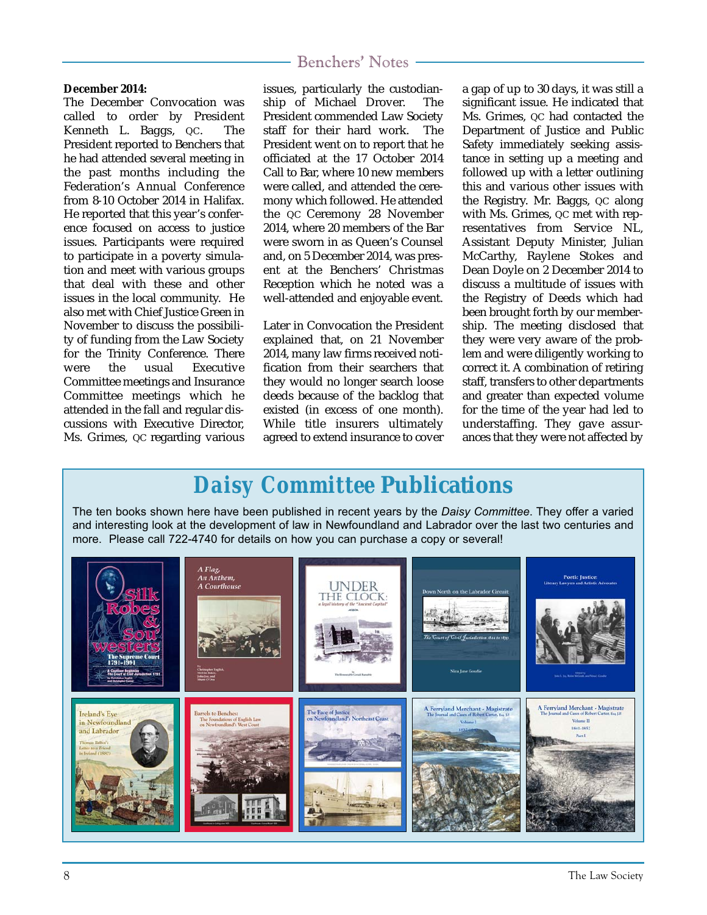#### **December 2014:**

The December Convocation was called to order by President Kenneth L. Baggs, QC. The President reported to Benchers that he had attended several meeting in the past months including the Federation's Annual Conference from 8-10 October 2014 in Halifax. He reported that this year's conference focused on access to justice issues. Participants were required to participate in a poverty simulation and meet with various groups that deal with these and other issues in the local community. He also met with Chief Justice Green in November to discuss the possibility of funding from the Law Society for the Trinity Conference. There were the usual Executive Committee meetings and Insurance Committee meetings which he attended in the fall and regular discussions with Executive Director, Ms. Grimes, QC regarding various issues, particularly the custodianship of Michael Drover. The President commended Law Society staff for their hard work. The President went on to report that he officiated at the 17 October 2014 Call to Bar, where 10 new members were called, and attended the ceremony which followed. He attended the QC Ceremony 28 November 2014, where 20 members of the Bar were sworn in as Queen's Counsel and, on 5 December 2014, was present at the Benchers' Christmas Reception which he noted was a well-attended and enjoyable event.

Later in Convocation the President explained that, on 21 November 2014, many law firms received notification from their searchers that they would no longer search loose deeds because of the backlog that existed (in excess of one month). While title insurers ultimately agreed to extend insurance to cover a gap of up to 30 days, it was still a significant issue. He indicated that Ms. Grimes, oc had contacted the Department of Justice and Public Safety immediately seeking assistance in setting up a meeting and followed up with a letter outlining this and various other issues with the Registry. Mr. Baggs, QC along with Ms. Grimes, QC met with representatives from Service NL, Assistant Deputy Minister, Julian McCarthy, Raylene Stokes and Dean Doyle on 2 December 2014 to discuss a multitude of issues with the Registry of Deeds which had been brought forth by our membership. The meeting disclosed that they were very aware of the problem and were diligently working to correct it. A combination of retiring staff, transfers to other departments and greater than expected volume for the time of the year had led to understaffing. They gave assurances that they were not affected by

### *Daisy Committee* **Publications**

The ten books shown here have been published in recent years by the *Daisy Committee*. They offer a varied and interesting look at the development of law in Newfoundland and Labrador over the last two centuries and more. Please call 722-4740 for details on how you can purchase a copy or several!

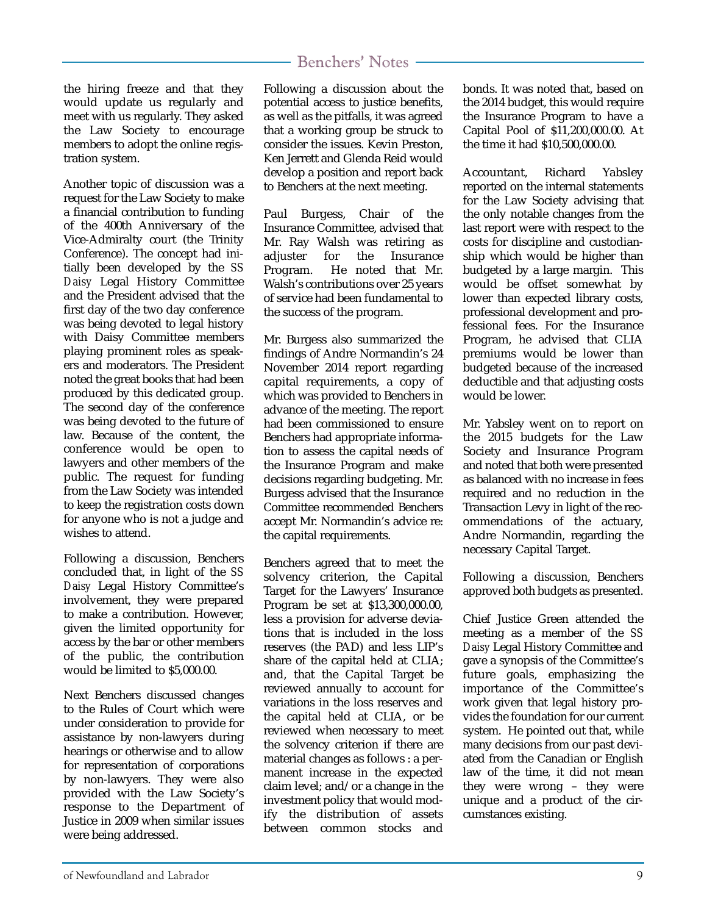the hiring freeze and that they would update us regularly and meet with us regularly. They asked the Law Society to encourage members to adopt the online registration system.

Another topic of discussion was a request for the Law Society to make a financial contribution to funding of the 400th Anniversary of the Vice-Admiralty court (the Trinity Conference). The concept had initially been developed by the *SS Daisy* Legal History Committee and the President advised that the first day of the two day conference was being devoted to legal history with Daisy Committee members playing prominent roles as speakers and moderators. The President noted the great books that had been produced by this dedicated group. The second day of the conference was being devoted to the future of law. Because of the content, the conference would be open to lawyers and other members of the public. The request for funding from the Law Society was intended to keep the registration costs down for anyone who is not a judge and wishes to attend.

Following a discussion, Benchers concluded that, in light of the *SS Daisy* Legal History Committee's involvement, they were prepared to make a contribution. However, given the limited opportunity for access by the bar or other members of the public, the contribution would be limited to \$5,000.00.

Next Benchers discussed changes to the Rules of Court which were under consideration to provide for assistance by non-lawyers during hearings or otherwise and to allow for representation of corporations by non-lawyers. They were also provided with the Law Society's response to the Department of Justice in 2009 when similar issues were being addressed.

Following a discussion about the potential access to justice benefits, as well as the pitfalls, it was agreed that a working group be struck to consider the issues. Kevin Preston, Ken Jerrett and Glenda Reid would develop a position and report back to Benchers at the next meeting.

Paul Burgess, Chair of the Insurance Committee, advised that Mr. Ray Walsh was retiring as adjuster for the Insurance Program. He noted that Mr. Walsh's contributions over 25 years of service had been fundamental to the success of the program.

Mr. Burgess also summarized the findings of Andre Normandin's 24 November 2014 report regarding capital requirements, a copy of which was provided to Benchers in advance of the meeting. The report had been commissioned to ensure Benchers had appropriate information to assess the capital needs of the Insurance Program and make decisions regarding budgeting. Mr. Burgess advised that the Insurance Committee recommended Benchers accept Mr. Normandin's advice re: the capital requirements.

Benchers agreed that to meet the solvency criterion, the Capital Target for the Lawyers' Insurance Program be set at \$13,300,000.00, less a provision for adverse deviations that is included in the loss reserves (the PAD) and less LIP's share of the capital held at CLIA; and, that the Capital Target be reviewed annually to account for variations in the loss reserves and the capital held at CLIA, or be reviewed when necessary to meet the solvency criterion if there are material changes as follows : a permanent increase in the expected claim level; and/or a change in the investment policy that would modify the distribution of assets between common stocks and

bonds. It was noted that, based on the 2014 budget, this would require the Insurance Program to have a Capital Pool of \$11,200,000.00. At the time it had \$10,500,000.00.

Accountant, Richard Yabsley reported on the internal statements for the Law Society advising that the only notable changes from the last report were with respect to the costs for discipline and custodianship which would be higher than budgeted by a large margin. This would be offset somewhat by lower than expected library costs, professional development and professional fees. For the Insurance Program, he advised that CLIA premiums would be lower than budgeted because of the increased deductible and that adjusting costs would be lower.

Mr. Yabsley went on to report on the 2015 budgets for the Law Society and Insurance Program and noted that both were presented as balanced with no increase in fees required and no reduction in the Transaction Levy in light of the recommendations of the actuary, Andre Normandin, regarding the necessary Capital Target.

Following a discussion, Benchers approved both budgets as presented.

Chief Justice Green attended the meeting as a member of the *SS Daisy* Legal History Committee and gave a synopsis of the Committee's future goals, emphasizing the importance of the Committee's work given that legal history provides the foundation for our current system. He pointed out that, while many decisions from our past deviated from the Canadian or English law of the time, it did not mean they were wrong – they were unique and a product of the circumstances existing.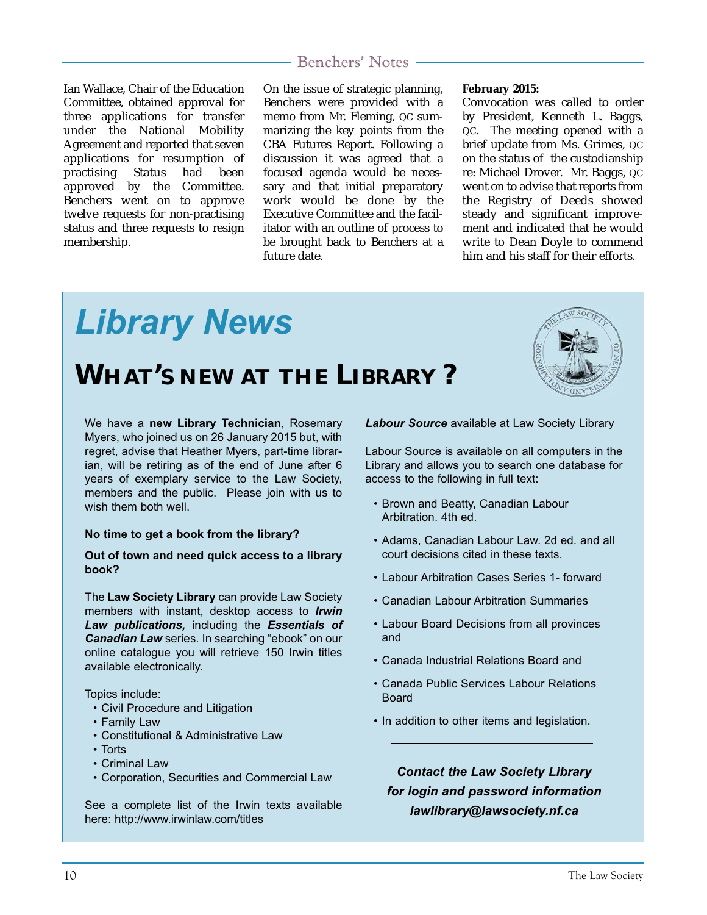Ian Wallace, Chair of the Education Committee, obtained approval for three applications for transfer under the National Mobility Agreement and reported that seven applications for resumption of<br>practising Status had been practising Status had been approved by the Committee. Benchers went on to approve twelve requests for non-practising status and three requests to resign membership.

On the issue of strategic planning, Benchers were provided with a memo from Mr. Fleming, QC summarizing the key points from the CBA Futures Report. Following a discussion it was agreed that a focused agenda would be necessary and that initial preparatory work would be done by the Executive Committee and the facilitator with an outline of process to be brought back to Benchers at a future date.

#### **February 2015:**

Convocation was called to order by President, Kenneth L. Baggs, QC. The meeting opened with a brief update from Ms. Grimes, QC on the status of the custodianship re: Michael Drover. Mr. Baggs, QC went on to advise that reports from the Registry of Deeds showed steady and significant improvement and indicated that he would write to Dean Doyle to commend him and his staff for their efforts.

# *Library News*  **WHAT'S NEW AT THE LIBRARY ?**

We have a **new Library Technician**, Rosemary Myers, who joined us on 26 January 2015 but, with regret, advise that Heather Myers, part-time librarian, will be retiring as of the end of June after 6 years of exemplary service to the Law Society, members and the public. Please join with us to wish them both well

#### **No time to get a book from the library?**

#### **Out of town and need quick access to a library book?**

The **Law Society Library** can provide Law Society members with instant, desktop access to *Irwin Law publications,* including the *Essentials of Canadian Law* series. In searching "ebook" on our online catalogue you will retrieve 150 Irwin titles available electronically.

Topics include:

- Civil Procedure and Litigation
- Family Law
- Constitutional & Administrative Law
- Torts
- Criminal Law
- Corporation, Securities and Commercial Law

See a complete list of the Irwin texts available here: http://www.irwinlaw.com/titles

*Labour Source* available at Law Society Library

Labour Source is available on all computers in the Library and allows you to search one database for access to the following in full text:

- Brown and Beatty, Canadian Labour Arbitration. 4th ed.
- Adams, Canadian Labour Law. 2d ed. and all court decisions cited in these texts.
- Labour Arbitration Cases Series 1- forward
- Canadian Labour Arbitration Summaries
- Labour Board Decisions from all provinces and
- Canada Industrial Relations Board and
- Canada Public Services Labour Relations Board
- In addition to other items and legislation.

*Contact the Law Society Library for login and password information lawlibrary@lawsociety.nf.ca*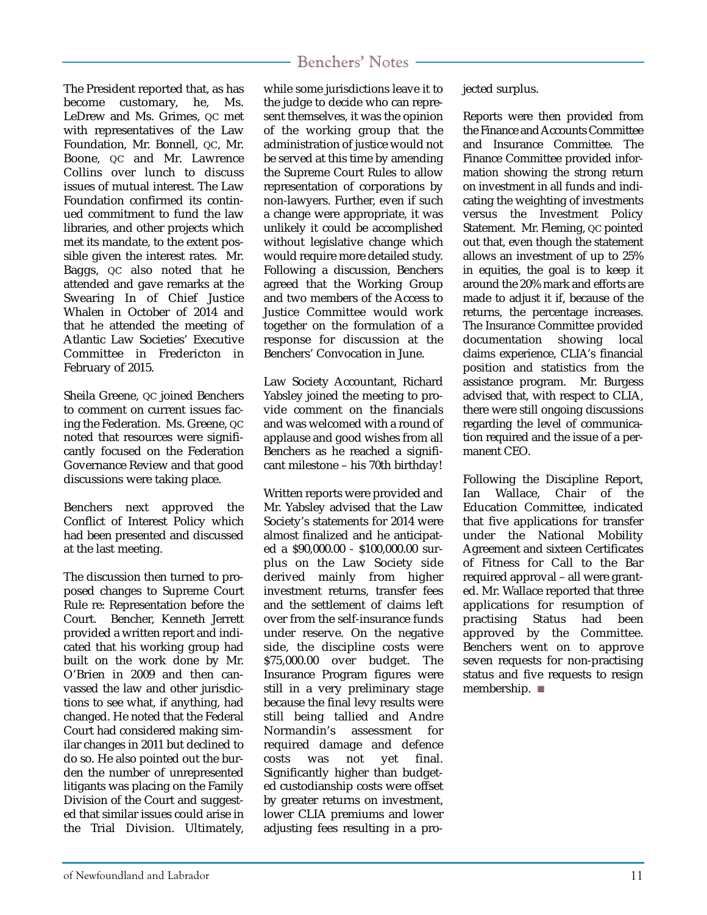#### The President reported that, as has become customary, he, Ms. LeDrew and Ms. Grimes, QC met with representatives of the Law Foundation, Mr. Bonnell, QC, Mr. Boone, QC and Mr. Lawrence Collins over lunch to discuss issues of mutual interest. The Law Foundation confirmed its continued commitment to fund the law libraries, and other projects which met its mandate, to the extent possible given the interest rates. Mr. Baggs, QC also noted that he attended and gave remarks at the Swearing In of Chief Justice Whalen in October of 2014 and that he attended the meeting of Atlantic Law Societies' Executive Committee in Fredericton in February of 2015.

Sheila Greene, QC joined Benchers to comment on current issues facing the Federation. Ms. Greene, QC noted that resources were significantly focused on the Federation Governance Review and that good discussions were taking place.

Benchers next approved the Conflict of Interest Policy which had been presented and discussed at the last meeting.

The discussion then turned to proposed changes to Supreme Court Rule re: Representation before the Court. Bencher, Kenneth Jerrett provided a written report and indicated that his working group had built on the work done by Mr. O'Brien in 2009 and then canvassed the law and other jurisdictions to see what, if anything, had changed. He noted that the Federal Court had considered making similar changes in 2011 but declined to do so. He also pointed out the burden the number of unrepresented litigants was placing on the Family Division of the Court and suggested that similar issues could arise in the Trial Division. Ultimately,

### Benchers' Notes

while some jurisdictions leave it to the judge to decide who can represent themselves, it was the opinion of the working group that the administration of justice would not be served at this time by amending the Supreme Court Rules to allow representation of corporations by non-lawyers. Further, even if such a change were appropriate, it was unlikely it could be accomplished without legislative change which would require more detailed study. Following a discussion, Benchers agreed that the Working Group and two members of the Access to Justice Committee would work together on the formulation of a response for discussion at the Benchers' Convocation in June.

Law Society Accountant, Richard Yabsley joined the meeting to provide comment on the financials and was welcomed with a round of applause and good wishes from all Benchers as he reached a significant milestone – his 70th birthday!

Written reports were provided and Mr. Yabsley advised that the Law Society's statements for 2014 were almost finalized and he anticipated a \$90,000.00 - \$100,000.00 surplus on the Law Society side derived mainly from higher investment returns, transfer fees and the settlement of claims left over from the self-insurance funds under reserve. On the negative side, the discipline costs were \$75,000.00 over budget. The Insurance Program figures were still in a very preliminary stage because the final levy results were still being tallied and Andre<br>Normandin's assessment for assessment for required damage and defence costs was not yet final. Significantly higher than budgeted custodianship costs were offset by greater returns on investment, lower CLIA premiums and lower adjusting fees resulting in a projected surplus.

Reports were then provided from the Finance and Accounts Committee and Insurance Committee. The Finance Committee provided information showing the strong return on investment in all funds and indicating the weighting of investments versus the Investment Policy Statement. Mr. Fleming, QC pointed out that, even though the statement allows an investment of up to 25% in equities, the goal is to keep it around the 20% mark and efforts are made to adjust it if, because of the returns, the percentage increases. The Insurance Committee provided documentation showing local claims experience, CLIA's financial position and statistics from the assistance program. Mr. Burgess advised that, with respect to CLIA, there were still ongoing discussions regarding the level of communication required and the issue of a permanent CEO.

Following the Discipline Report, Ian Wallace, Chair of the Education Committee, indicated that five applications for transfer under the National Mobility Agreement and sixteen Certificates of Fitness for Call to the Bar required approval – all were granted. Mr. Wallace reported that three applications for resumption of practising Status had been approved by the Committee. Benchers went on to approve seven requests for non-practising status and five requests to resign membership. ■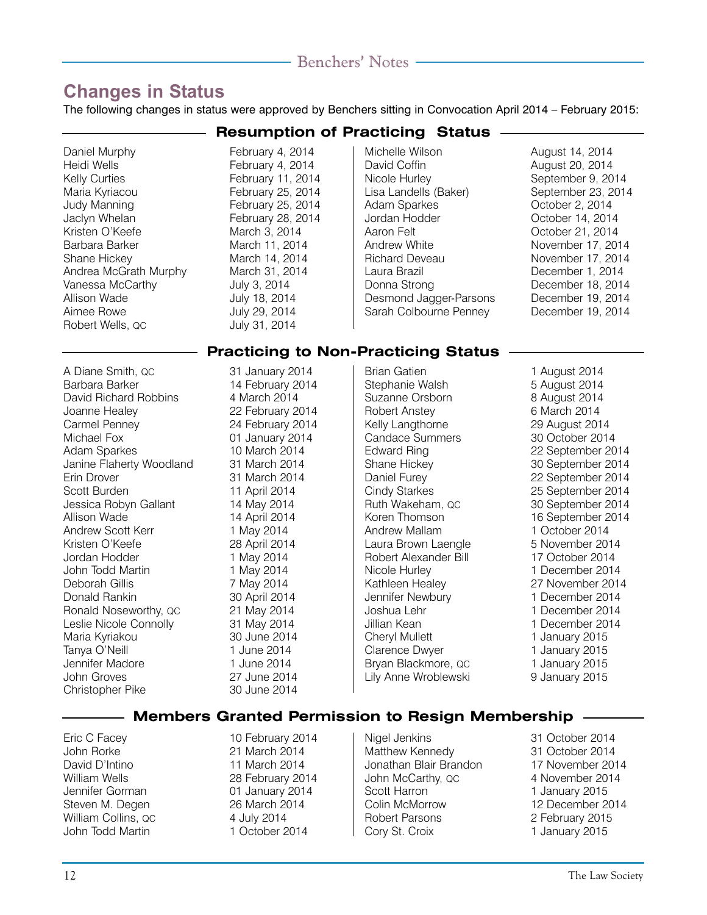### **Changes in Status**

The following changes in status were approved by Benchers sitting in Convocation April 2014 – February 2015:

Daniel Murphy February 4, 2014<br>Heidi Wells February 4, 2014 Kelly Curties **February 11, 2014** Maria Kyriacou February 25, 2014 Judy Manning February 25, 2014 Kristen O'Keefe March 3, 2014<br>Rarbara Barker March 11, 201 Shane Hickey March 14, 2014 Andrea McGrath Murphy March 31, 2014 Vanessa McCarthy<br>Allison Wade Aimee Rowe<br>
Robert Wells, QC<br>
Hobert Wells, QC<br>
Ally 31, 2014 Robert Wells, OC

**Resumption of Practicing Status** February 4, 2014 February 28, 2014 March 11, 2014 July 18, 2014

### Michelle Wilson August 14, 2014<br>David Coffin August 20, 2014 Nicole Hurley September 9, 2014 Lisa Landells (Baker) September 23, 2014<br>Adam Sparkes (October 2, 2014) Adam Sparkes October 2, 2014 Aaron Felt<br>Andrew White Controller Controller November 17, 2014 Richard Deveau November 17, 2014 Laura Brazil **Cause Communication**<br>December 18, 2014<br>December 18, 2014 Desmond Jagger-Parsons December 19, 2014 Sarah Colbourne Penney December 19, 2014

August 20, 2014 October 14, 2014 November 17, 2014 December 18, 2014

#### **Practicing to Non-Practicing Status**

A Diane Smith, QC 31 January 2014 Barbara Barker 14 February 2014 David Richard Robbins 4 March 2014 Joanne Healey 22 February 2014 Carmel Penney 24 February 2014 Michael Fox 01 January 2014 Adam Sparkes 10 March 2014<br>Janine Flaherty Woodland 31 March 2014 Janine Flaherty Woodland Erin Drover 31 March 2014 Scott Burden 11 April 2014<br>Jessica Robyn Gallant 14 May 2014 Jessica Robyn Gallant Allison Wade 14 April 2014 Andrew Scott Kerr 1 May 2014<br>Kristen O'Keefe 1 28 April 2014 Jordan Hodder 1 May 2014 John Todd Martin 1 May 2014<br>1 Deborah Gillis 1 7 May 2014 Donald Rankin 30 April 2014 Ronald Noseworthy, QC 21 May 2014<br>
Leslie Nicole Connolly 31 May 2014 Leslie Nicole Connolly Maria Kyriakou 30 June 2014 Tanya O'Neill 1 June 2014 Jennifer Madore John Groves 27 June 2014 Christopher Pike 30 June 2014

Stephanie Walsh 5 August 2014 Suzanne Orsborn 8 August 2014 Robert Anstey 6 March 2014 Kelly Langthorne 29 August 2014<br>Candace Summers 20 October 2014 Candace Summers<br>Edward Ring Edward Ring<br>
Shane Hickey<br>
20 September 2014 Daniel Furey 22 September 2014 Cindy Starkes 25 September 2014<br>
Ruth Wakeham. oc. 20 September 2014 Ruth Wakeham, QC 30 September 2014 Andrew Mallam 1 October 2014 Laura Brown Laengle **5 November 2014** Robert Alexander Bill 17 October 2014 Nicole Hurley 1992 1 December 2014<br>1 Nathleen Healey 1992 1 27 November 2014 Kathleen Healey Jennifer Newbury 1 December 2014 Joshua Lehr 1 December 2014 Cheryl Mullett 1 January 2015 Clarence Dwyer 1 January 2015<br>Bryan Blackmore, QC 1 January 2015 Bryan Blackmore, QC

Brian Gatien 1 August 2014 30 September 2014 16 September 2014 1 December 2014 Lily Anne Wroblewski 9 January 2015

#### **Members Granted Permission to Resign Membership**

Eric C Facey 10 February 2014 John Rorke 21 March 2014 William Wells 28 February 2014 Jennifer Gorman 01 January 2014 Steven M. Degen 26 March 2014 William Collins, QC 4 July 2014 John Todd Martin 1 October 2014

11 March 2014

Matthew Kennedy 31 October 2014 Jonathan Blair Brandon 17 November 2014 John McCarthy, QC 4 November 2014 Scott Harron 1 January 2015<br>
Colin McMorrow 12 December 2 Robert Parsons 2 February 2015 Cory St. Croix 1 January 2015

Nigel Jenkins 31 October 2014 12 December 2014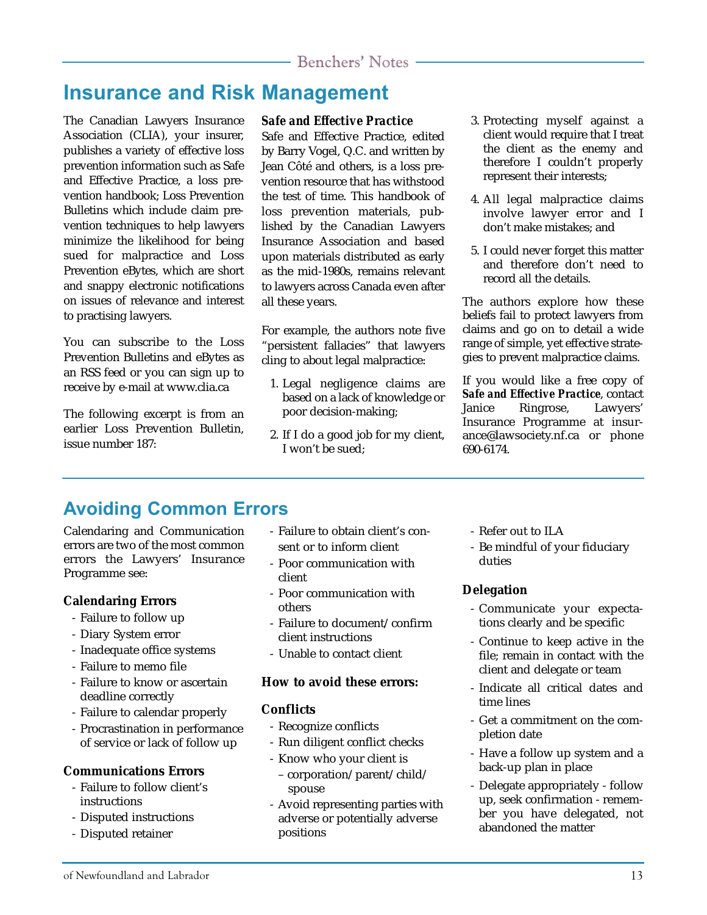### **Insurance and Risk Management**

The Canadian Lawyers Insurance Association (CLIA), your insurer, publishes a variety of effective loss prevention information such as Safe and Effective Practice, a loss prevention handbook; Loss Prevention Bulletins which include claim prevention techniques to help lawyers minimize the likelihood for being sued for malpractice and Loss Prevention eBytes, which are short and snappy electronic notifications on issues of relevance and interest to practising lawyers.

You can subscribe to the Loss Prevention Bulletins and eBytes as an RSS feed or you can sign up to receive by e-mail at www.clia.ca

The following excerpt is from an earlier Loss Prevention Bulletin, issue number 187:

#### *Safe and Effective Practice*

Safe and Effective Practice, edited by Barry Vogel, Q.C. and written by Jean Côté and others, is a loss prevention resource that has withstood the test of time. This handbook of loss prevention materials, published by the Canadian Lawyers Insurance Association and based upon materials distributed as early as the mid-1980s, remains relevant to lawyers across Canada even after all these years.

For example, the authors note five "persistent fallacies" that lawyers cling to about legal malpractice:

- 1. Legal negligence claims are based on a lack of knowledge or poor decision-making;
- 2. If I do a good job for my client, I won't be sued;
- 3. Protecting myself against a client would require that I treat the client as the enemy and therefore I couldn't properly represent their interests;
- 4. All legal malpractice claims involve lawyer error and I don't make mistakes; and
- 5. I could never forget this matter and therefore don't need to record all the details.

The authors explore how these beliefs fail to protect lawyers from claims and go on to detail a wide range of simple, yet effective strategies to prevent malpractice claims.

If you would like a free copy of *Safe and Effective Practice*, contact Janice Ringrose, Lawyers' Insurance Programme at insurance@lawsociety.nf.ca or phone 690-6174.

### **Avoiding Common Errors**

Calendaring and Communication errors are two of the most common errors the Lawyers' Insurance Programme see:

#### **Calendaring Errors**

- Failure to follow up
- Diary System error
- Inadequate office systems
- Failure to memo file
- Failure to know or ascertain deadline correctly
- Failure to calendar properly
- Procrastination in performance of service or lack of follow up

#### **Communications Errors**

- Failure to follow client's instructions
- Disputed instructions
- Disputed retainer
- Failure to obtain client's consent or to inform client
- Poor communication with client
- Poor communication with others
- Failure to document/confirm client instructions
- Unable to contact client

#### **How to avoid these errors:**

#### **Conflicts**

- Recognize conflicts
- Run diligent conflict checks
- Know who your client is
- corporation/parent/child/ spouse
- Avoid representing parties with adverse or potentially adverse positions
- Refer out to ILA
- Be mindful of your fiduciary duties

#### **Delegation**

- Communicate your expectations clearly and be specific
- Continue to keep active in the file; remain in contact with the client and delegate or team
- Indicate all critical dates and time lines
- Get a commitment on the completion date
- Have a follow up system and a back-up plan in place
- Delegate appropriately follow up, seek confirmation - remember you have delegated, not abandoned the matter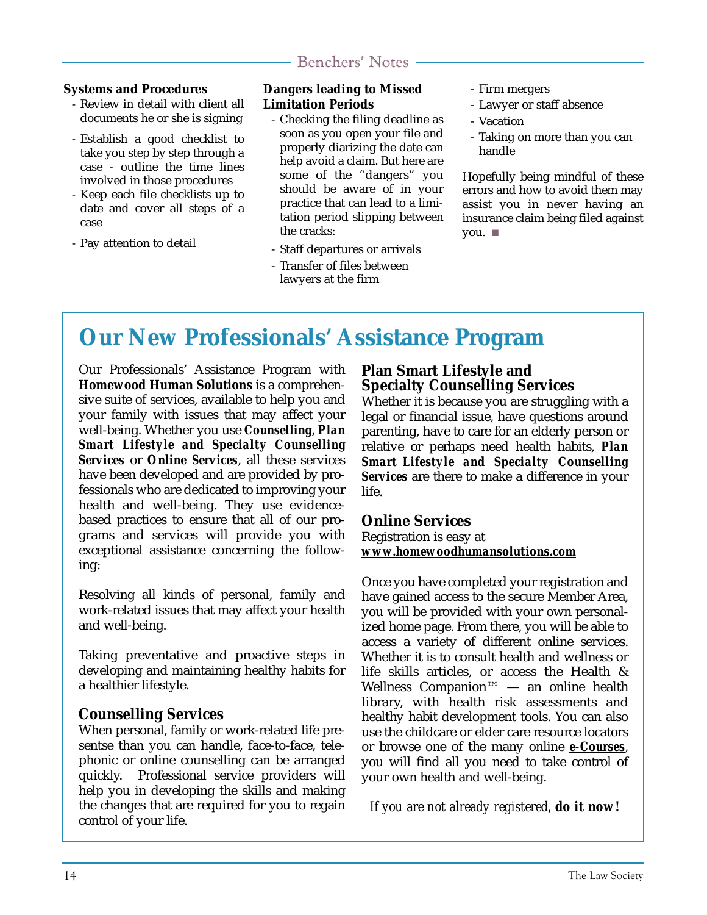#### **Systems and Procedures**

- Review in detail with client all documents he or she is signing
- Establish a good checklist to take you step by step through a case - outline the time lines involved in those procedures
- Keep each file checklists up to date and cover all steps of a case
- Pay attention to detail

#### **Dangers leading to Missed Limitation Periods**

- Checking the filing deadline as soon as you open your file and properly diarizing the date can help avoid a claim. But here are some of the "dangers" you should be aware of in your practice that can lead to a limitation period slipping between the cracks:
- Staff departures or arrivals - Transfer of files between lawyers at the firm
- Firm mergers
- Lawyer or staff absence
- Vacation
- Taking on more than you can handle

Hopefully being mindful of these errors and how to avoid them may assist you in never having an insurance claim being filed against you. ■

### **Our New Professionals' Assistance Program**

Our Professionals' Assistance Program with **Homewood Human Solutions** is a comprehensive suite of services, available to help you and your family with issues that may affect your well-being. Whether you use *Counselling*, *Plan Smart Lifestyle and Specialty Counselling Services* or *Online Services*, all these services have been developed and are provided by professionals who are dedicated to improving your health and well-being. They use evidencebased practices to ensure that all of our programs and services will provide you with exceptional assistance concerning the following:

Resolving all kinds of personal, family and work-related issues that may affect your health and well-being.

Taking preventative and proactive steps in developing and maintaining healthy habits for a healthier lifestyle.

#### **Counselling Services**

When personal, family or work-related life presentse than you can handle, face-to-face, telephonic or online counselling can be arranged quickly. Professional service providers will help you in developing the skills and making the changes that are required for you to regain control of your life.

#### **Plan Smart Lifestyle and Specialty Counselling Services**

Whether it is because you are struggling with a legal or financial issue, have questions around parenting, have to care for an elderly person or relative or perhaps need health habits, *Plan Smart Lifestyle and Specialty Counselling Services* are there to make a difference in your life.

#### **Online Services**

Registration is easy at *www.homewoodhumansolutions.com*

Once you have completed your registration and have gained access to the secure Member Area, you will be provided with your own personalized home page. From there, you will be able to access a variety of different online services. Whether it is to consult health and wellness or life skills articles, or access the Health & Wellness Companion™ — an online health library, with health risk assessments and healthy habit development tools. You can also use the childcare or elder care resource locators or browse one of the many online *e-Courses*, you will find all you need to take control of your own health and well-being.

*If you are not already registered, do it now!*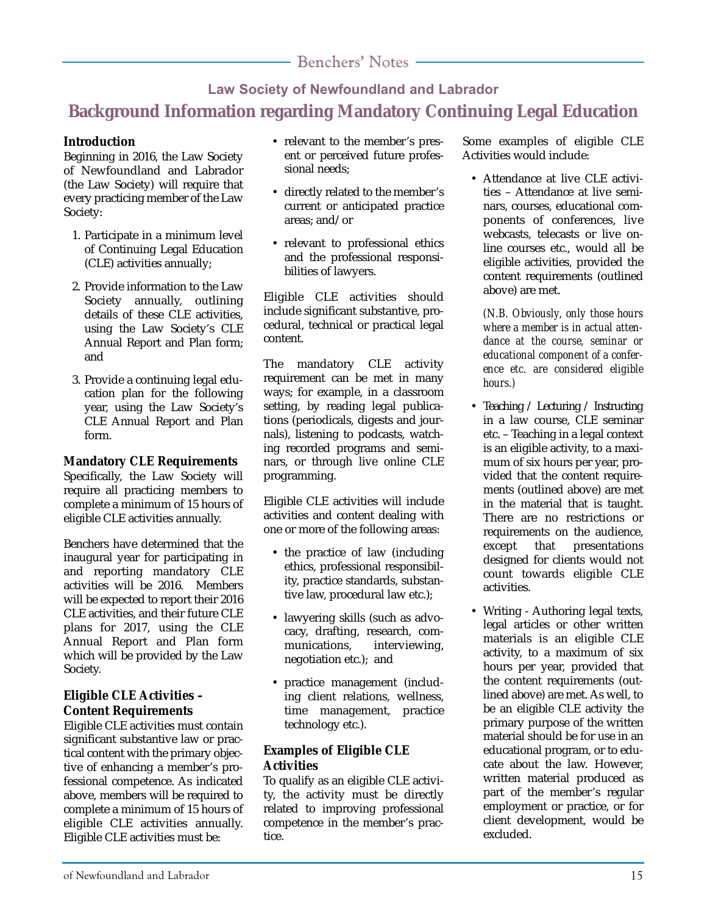### **Law Society of Newfoundland and Labrador Background Information regarding Mandatory Continuing Legal Education**

#### **Introduction**

Beginning in 2016, the Law Society of Newfoundland and Labrador (the Law Society) will require that every practicing member of the Law Society:

- 1. Participate in a minimum level of Continuing Legal Education (CLE) activities annually;
- 2. Provide information to the Law Society annually, outlining details of these CLE activities, using the Law Society's CLE Annual Report and Plan form; and
- 3. Provide a continuing legal education plan for the following year, using the Law Society's CLE Annual Report and Plan form.

#### **Mandatory CLE Requirements**

Specifically, the Law Society will require all practicing members to complete a minimum of 15 hours of eligible CLE activities annually.

Benchers have determined that the inaugural year for participating in and reporting mandatory CLE activities will be 2016. Members will be expected to report their 2016 CLE activities, and their future CLE plans for 2017, using the CLE Annual Report and Plan form which will be provided by the Law Society.

#### **Eligible CLE Activities – Content Requirements**

Eligible CLE activities must contain significant substantive law or practical content with the primary objective of enhancing a member's professional competence. As indicated above, members will be required to complete a minimum of 15 hours of eligible CLE activities annually. Eligible CLE activities must be:

- relevant to the member's present or perceived future professional needs;
- directly related to the member's current or anticipated practice areas; and/or
- relevant to professional ethics and the professional responsibilities of lawyers.

Eligible CLE activities should include significant substantive, procedural, technical or practical legal content.

The mandatory CLE activity requirement can be met in many ways; for example, in a classroom setting, by reading legal publications (periodicals, digests and journals), listening to podcasts, watching recorded programs and seminars, or through live online CLE programming.

Eligible CLE activities will include activities and content dealing with one or more of the following areas:

- the practice of law (including ethics, professional responsibility, practice standards, substantive law, procedural law etc.);
- lawyering skills (such as advocacy, drafting, research, communications, interviewing, negotiation etc.); and
- practice management (including client relations, wellness, time management, practice technology etc.).

#### **Examples of Eligible CLE Activities**

To qualify as an eligible CLE activity, the activity must be directly related to improving professional competence in the member's practice.

Some examples of eligible CLE Activities would include:

• Attendance at live CLE activities – Attendance at live seminars, courses, educational components of conferences, live webcasts, telecasts or live online courses etc., would all be eligible activities, provided the content requirements (outlined above) are met.

*(N.B. Obviously, only those hours where a member is in actual attendance at the course, seminar or educational component of a conference etc. are considered eligible hours.)*

- Teaching / Lecturing / Instructing in a law course, CLE seminar etc. – Teaching in a legal context is an eligible activity, to a maximum of six hours per year, provided that the content requirements (outlined above) are met in the material that is taught. There are no restrictions or requirements on the audience, except that presentations designed for clients would not count towards eligible CLE activities.
- Writing Authoring legal texts, legal articles or other written materials is an eligible CLE activity, to a maximum of six hours per year, provided that the content requirements (outlined above) are met. As well, to be an eligible CLE activity the primary purpose of the written material should be for use in an educational program, or to educate about the law. However, written material produced as part of the member's regular employment or practice, or for client development, would be excluded.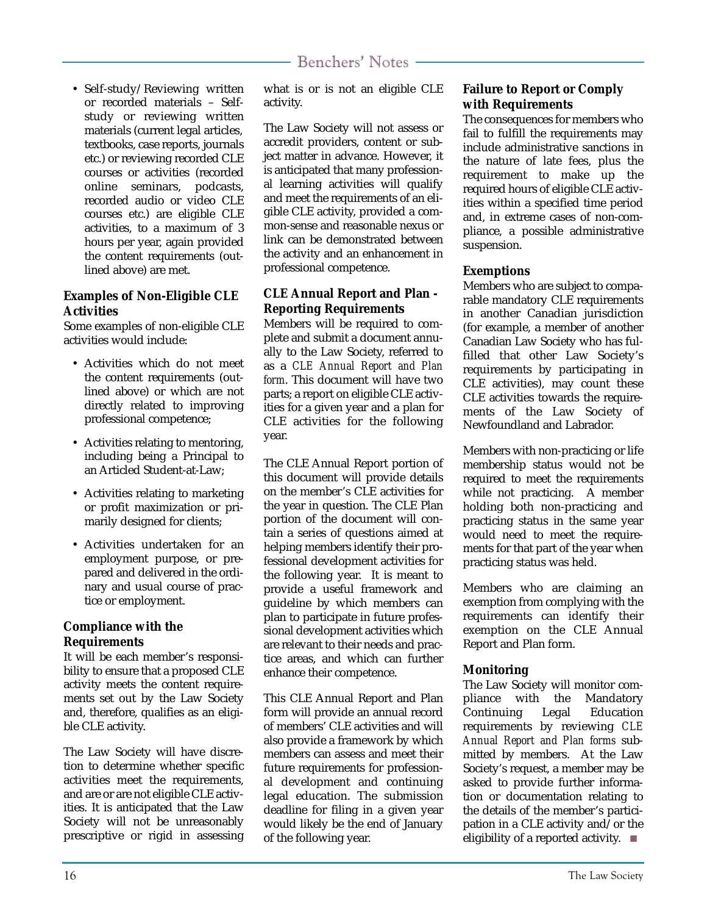• Self-study/Reviewing written or recorded materials – Selfstudy or reviewing written materials (current legal articles, textbooks, case reports, journals etc.) or reviewing recorded CLE courses or activities (recorded online seminars, podcasts, recorded audio or video CLE courses etc.) are eligible CLE activities, to a maximum of 3 hours per year, again provided the content requirements (outlined above) are met.

#### **Examples of Non-Eligible CLE Activities**

Some examples of non-eligible CLE activities would include:

- Activities which do not meet the content requirements (outlined above) or which are not directly related to improving professional competence;
- Activities relating to mentoring, including being a Principal to an Articled Student-at-Law;
- Activities relating to marketing or profit maximization or primarily designed for clients;
- Activities undertaken for an employment purpose, or prepared and delivered in the ordinary and usual course of practice or employment.

#### **Compliance with the Requirements**

It will be each member's responsibility to ensure that a proposed CLE activity meets the content requirements set out by the Law Society and, therefore, qualifies as an eligible CLE activity.

The Law Society will have discretion to determine whether specific activities meet the requirements, and are or are not eligible CLE activities. It is anticipated that the Law Society will not be unreasonably prescriptive or rigid in assessing what is or is not an eligible CLE activity.

The Law Society will not assess or accredit providers, content or subject matter in advance. However, it is anticipated that many professional learning activities will qualify and meet the requirements of an eligible CLE activity, provided a common-sense and reasonable nexus or link can be demonstrated between the activity and an enhancement in professional competence.

#### **CLE Annual Report and Plan - Reporting Requirements**

Members will be required to complete and submit a document annually to the Law Society, referred to as a *CLE Annual Report and Plan form*. This document will have two parts; a report on eligible CLE activities for a given year and a plan for CLE activities for the following year.

The CLE Annual Report portion of this document will provide details on the member's CLE activities for the year in question. The CLE Plan portion of the document will contain a series of questions aimed at helping members identify their professional development activities for the following year. It is meant to provide a useful framework and guideline by which members can plan to participate in future professional development activities which are relevant to their needs and practice areas, and which can further enhance their competence.

This CLE Annual Report and Plan form will provide an annual record of members' CLE activities and will also provide a framework by which members can assess and meet their future requirements for professional development and continuing legal education. The submission deadline for filing in a given year would likely be the end of January of the following year.

#### **Failure to Report or Comply with Requirements**

The consequences for members who fail to fulfill the requirements may include administrative sanctions in the nature of late fees, plus the requirement to make up the required hours of eligible CLE activities within a specified time period and, in extreme cases of non-compliance, a possible administrative suspension.

#### **Exemptions**

Members who are subject to comparable mandatory CLE requirements in another Canadian jurisdiction (for example, a member of another Canadian Law Society who has fulfilled that other Law Society's requirements by participating in CLE activities), may count these CLE activities towards the requirements of the Law Society of Newfoundland and Labrador.

Members with non-practicing or life membership status would not be required to meet the requirements while not practicing. A member holding both non-practicing and practicing status in the same year would need to meet the requirements for that part of the year when practicing status was held.

Members who are claiming an exemption from complying with the requirements can identify their exemption on the CLE Annual Report and Plan form.

#### **Monitoring**

The Law Society will monitor compliance with the Mandatory Continuing Legal Education requirements by reviewing *CLE Annual Report and Plan forms* submitted by members. At the Law Society's request, a member may be asked to provide further information or documentation relating to the details of the member's participation in a CLE activity and/or the eligibility of a reported activity. ■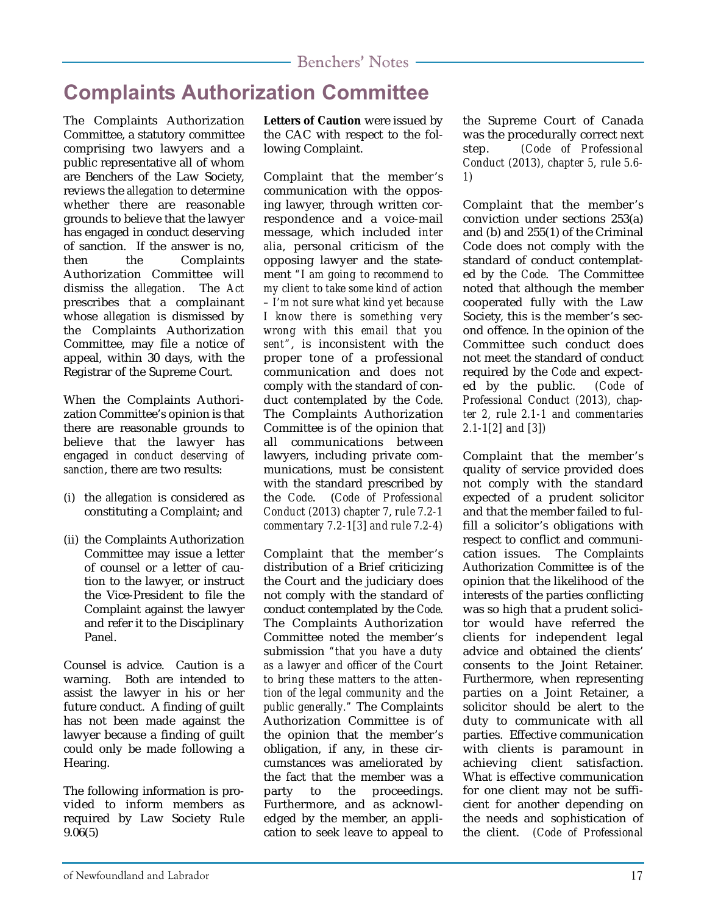### **Complaints Authorization Committee**

The Complaints Authorization Committee, a statutory committee comprising two lawyers and a public representative all of whom are Benchers of the Law Society, reviews the *allegation* to determine whether there are reasonable grounds to believe that the lawyer has engaged in conduct deserving of sanction. If the answer is no, then the Complaints Authorization Committee will dismiss the *allegation*. The *Act* prescribes that a complainant whose *allegation* is dismissed by the Complaints Authorization Committee, may file a notice of appeal, within 30 days, with the Registrar of the Supreme Court.

When the Complaints Authorization Committee's opinion is that there are reasonable grounds to believe that the lawyer has engaged in *conduct deserving of sanction*, there are two results:

- (i) the *allegation* is considered as constituting a Complaint; and
- (ii) the Complaints Authorization Committee may issue a letter of counsel or a letter of caution to the lawyer, or instruct the Vice-President to file the Complaint against the lawyer and refer it to the Disciplinary Panel.

Counsel is advice. Caution is a warning. Both are intended to assist the lawyer in his or her future conduct. A finding of guilt has not been made against the lawyer because a finding of guilt could only be made following a Hearing.

The following information is provided to inform members as required by Law Society Rule 9.06(5)

**Letters of Caution** were issued by the CAC with respect to the following Complaint.

Complaint that the member's communication with the opposing lawyer, through written correspondence and a voice-mail message, which included *inter alia*, personal criticism of the opposing lawyer and the statement *"I am going to recommend to my client to take some kind of action – I'm not sure what kind yet because I know there is something very wrong with this email that you sent"*, is inconsistent with the proper tone of a professional communication and does not comply with the standard of conduct contemplated by the *Code*. The Complaints Authorization Committee is of the opinion that all communications between lawyers, including private communications, must be consistent with the standard prescribed by the *Code*. (*Code of Professional Conduct (2013) chapter 7, rule 7.2-1 commentary 7.2-1[3] and rule 7.2-4)*

Complaint that the member's distribution of a Brief criticizing the Court and the judiciary does not comply with the standard of conduct contemplated by the *Code*. The Complaints Authorization Committee noted the member's submission *"that you have a duty as a lawyer and officer of the Court to bring these matters to the attention of the legal community and the public generally."* The Complaints Authorization Committee is of the opinion that the member's obligation, if any, in these circumstances was ameliorated by the fact that the member was a party to the proceedings. Furthermore, and as acknowledged by the member, an application to seek leave to appeal to

the Supreme Court of Canada was the procedurally correct next step. *(Code of Professional Conduct (2013), chapter 5, rule 5.6- 1)*

Complaint that the member's conviction under sections 253(a) and (b) and 255(1) of the Criminal Code does not comply with the standard of conduct contemplated by the *Code*. The Committee noted that although the member cooperated fully with the Law Society, this is the member's second offence. In the opinion of the Committee such conduct does not meet the standard of conduct required by the *Code* and expected by the public. *(Code of Professional Conduct (2013), chapter 2, rule 2.1-1 and commentaries 2.1-1[2] and [3])*

Complaint that the member's quality of service provided does not comply with the standard expected of a prudent solicitor and that the member failed to fulfill a solicitor's obligations with respect to conflict and communication issues. The Complaints Authorization Committee is of the opinion that the likelihood of the interests of the parties conflicting was so high that a prudent solicitor would have referred the clients for independent legal advice and obtained the clients' consents to the Joint Retainer. Furthermore, when representing parties on a Joint Retainer, a solicitor should be alert to the duty to communicate with all parties. Effective communication with clients is paramount in achieving client satisfaction. What is effective communication for one client may not be sufficient for another depending on the needs and sophistication of the client. *(Code of Professional*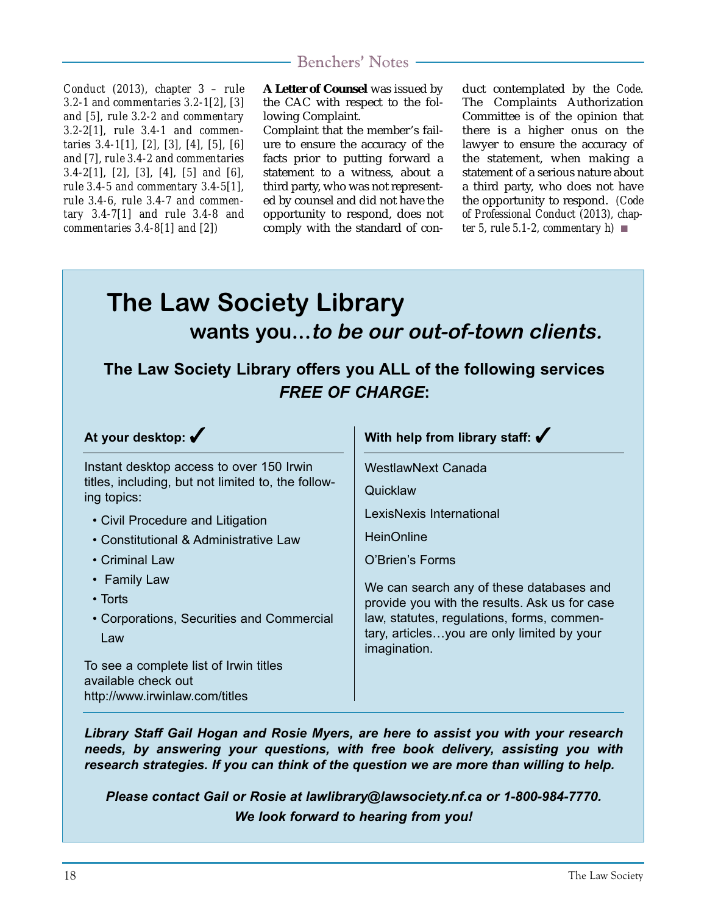*Conduct (2013), chapter 3 – rule 3.2-1 and commentaries 3.2-1[2], [3] and [5], rule 3.2-2 and commentary 3.2-2[1], rule 3.4-1 and commentaries 3.4-1[1], [2], [3], [4], [5], [6] and [7], rule 3.4-2 and commentaries 3.4-2[1], [2], [3], [4], [5] and [6], rule 3.4-5 and commentary 3.4-5[1], rule 3.4-6, rule 3.4-7 and commentary 3.4-7[1] and rule 3.4-8 and commentaries 3.4-8[1] and [2])*

**A Letter of Counsel** was issued by the CAC with respect to the following Complaint.

Complaint that the member's failure to ensure the accuracy of the facts prior to putting forward a statement to a witness, about a third party, who was not represented by counsel and did not have the opportunity to respond, does not comply with the standard of conduct contemplated by the *Code*. The Complaints Authorization Committee is of the opinion that there is a higher onus on the lawyer to ensure the accuracy of the statement, when making a statement of a serious nature about a third party, who does not have the opportunity to respond. *(Code of Professional Conduct (2013), chapter 5, rule 5.1-2, commentary h)* ■

# **The Law Society Library wants you...to be our out-of-town clients.**

### **The Law Society Library offers you ALL of the following services** *FREE OF CHARGE***:**

**At your desktop:** ✔ Instant desktop access to over 150 Irwin titles, including, but not limited to, the following topics: • Civil Procedure and Litigation • Constitutional & Administrative Law • Criminal Law • Family Law • Torts • Corporations, Securities and Commercial Law To see a complete list of Irwin titles available check out http://www.irwinlaw.com/titles **With help from library staff:** ✔ WestlawNext Canada **Quicklaw** LexisNexis International **HeinOnline** O'Brien's Forms We can search any of these databases and provide you with the results. Ask us for case law, statutes, regulations, forms, commentary, articles…you are only limited by your imagination.

*Library Staff Gail Hogan and Rosie Myers, are here to assist you with your research needs, by answering your questions, with free book delivery, assisting you with research strategies. If you can think of the question we are more than willing to help.*

*Please contact Gail or Rosie at lawlibrary@lawsociety.nf.ca or 1-800-984-7770. We look forward to hearing from you!*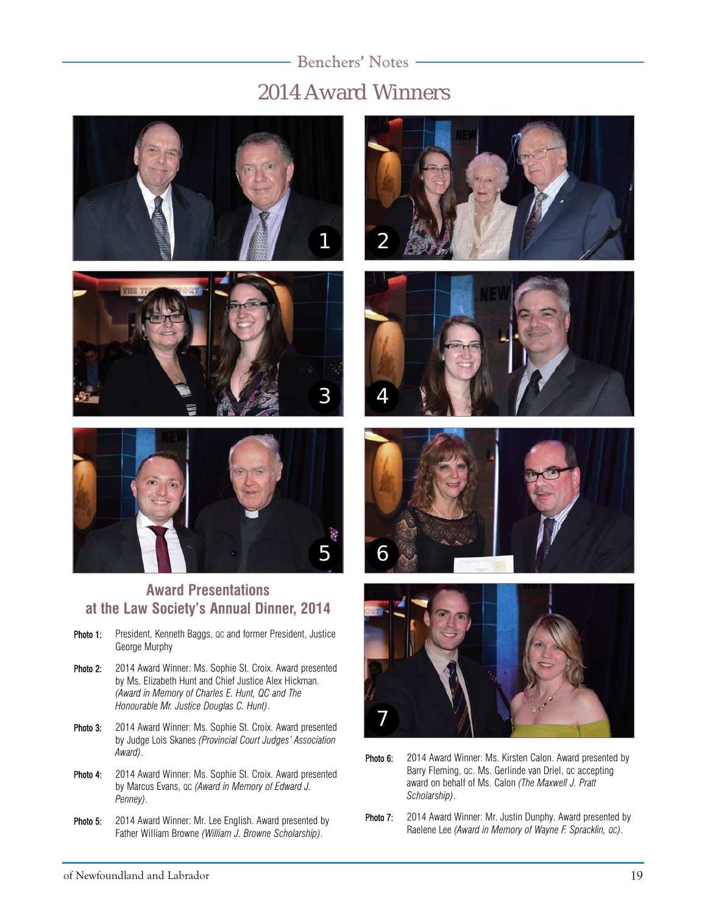### 2014 Award Winners Benchers' Notes







#### **Award Presentations at the Law Society's Annual Dinner, 2014**

- Photo 1: President, Kenneth Baggs, oc and former President, Justice George Murphy
- Photo 2: 2014 Award Winner: Ms. Sophie St. Croix. Award presented by Ms. Elizabeth Hunt and Chief Justice Alex Hickman. *(Award in Memory of Charles E. Hunt, QC and The Honourable Mr. Justice Douglas C. Hunt)*.
- Photo 3: 2014 Award Winner: Ms. Sophie St. Croix. Award presented by Judge Lois Skanes *(Provincial Court Judges' Association Award)*.
- Photo 4: 2014 Award Winner: Ms. Sophie St. Croix. Award presented by Marcus Evans, QC *(Award in Memory of Edward J. Penney)*.
- Photo 5: 2014 Award Winner: Mr. Lee English. Award presented by Father William Browne *(William J. Browne Scholarship)*.









- Photo 6: 2014 Award Winner: Ms. Kirsten Calon. Award presented by Barry Fleming, QC. Ms. Gerlinde van Driel, QC accepting award on behalf of Ms. Calon *(The Maxwell J. Pratt Scholarship)*.
- Photo 7: 2014 Award Winner: Mr. Justin Dunphy. Award presented by Raelene Lee *(Award in Memory of Wayne F. Spracklin, QC)*.